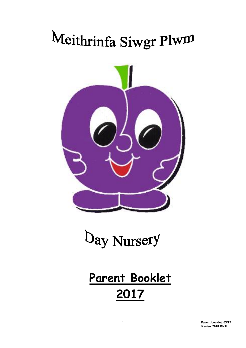# Meithrinfa Siwgr Plwm





## **Parent Booklet 2017**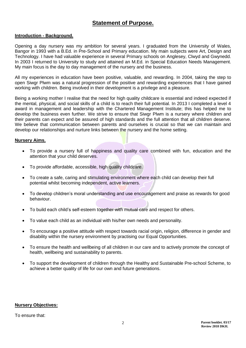### **Statement of Purpose.**

#### **Introduction - Background.**

Opening a day nursery was my ambition for several years. I graduated from the University of Wales, Bangor in 1993 with a B.Ed. in Pre-School and Primary education. My main subjects were Art, Design and Technology. I have had valuable experience in several Primary schools on Anglesey, Clwyd and Gwynedd. In 2003 I returned to University to study and attained an M.Ed. in Special Education Needs Management. My main focus is the day to day management of the nursery and the business.

All my experiences in education have been positive, valuable, and rewarding. In 2004, taking the step to open Siwgr Plwm was a natural progression of the positive and rewarding experiences that I have gained working with children. Being involved in their development is a privilege and a pleasure.

Being a working mother I realise that the need for high quality childcare is essential and indeed expected if the mental, physical, and social skills of a child is to reach their full potential. In 2013 I completed a level 4 award in management and leadership with the Chartered Management Institute; this has helped me to develop the business even further. We strive to ensure that Siwgr Plwm is a nursery where children and their parents can expect and be assured of high standards and the full attention that all children deserve. We believe that communication between parents and ourselves is crucial so that we can maintain and develop our relationships and nurture links between the nursery and the home setting.

#### **Nursery Aims.**

- To provide a nursery full of happiness and quality care combined with fun, education and the attention that your child deserves.
- To provide affordable, accessible, high quality childcare.
- To create a safe, caring and stimulating environment where each child can develop their full potential whilst becoming independent, active learners.
- To develop children's moral understanding and use encouragement and praise as rewards for good behaviour.
- To build each child's self-esteem together with mutual care and respect for others.
- To value each child as an individual with his/her own needs and personality.
- To encourage a positive attitude with respect towards racial origin, religion, difference in gender and disability within the nursery environment by practising our Equal Opportunities.
- To ensure the health and wellbeing of all children in our care and to actively promote the concept of health, wellbeing and sustainability to parents.
- To support the development of children through the Healthy and Sustainable Pre-school Scheme, to achieve a better quality of life for our own and future generations.

#### **Nursery Objectives:**

To ensure that: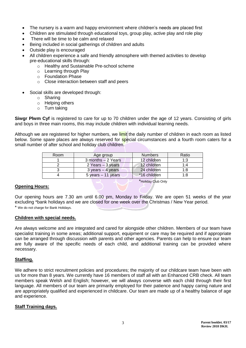- The nursery is a warm and happy environment where children's needs are placed first
- Children are stimulated through educational toys, group play, active play and role play
- There will be time to be calm and relaxed
- Being included in social gatherings of children and adults
- Outside play is encouraged
- All children experience a safe and friendly atmosphere with themed activities to develop pre-educational skills through:
	- o Healthy and Sustainable Pre-school scheme
	- o Learning through Play
	- o Foundation Phase
	- o Close interaction between staff and peers
- Social skills are developed through:
	- o Sharing
	- o Helping others
	- o Turn taking

**Siwgr Plwm Cyf** is registered to care for up to 70 children under the age of 12 years. Consisting of girls and boys in three main rooms, this may include children with individual learning needs.

Although we are registered for higher numbers, we limit the daily number of children in each room as listed below. Some spare places are always reserved for special circumstances and a fourth room caters for a small number of after school and holiday club children.

| Room | Age group                           | <b>Numbers</b> | Ratio |
|------|-------------------------------------|----------------|-------|
|      | 3 months - 2 Years                  | 12 children    | 1:3   |
|      | 2 Years – 3 years                   | 12 children    | 1∙4   |
|      | $3 \text{ years} - 4 \text{ years}$ | 24 children    | 1:8   |
|      | $5$ years $-11$ years               | *16 children   | 1:8   |

#### **Opening Hours:**

Our opening hours are 7.30 am until 6.00 pm, Monday to Friday. We are open 51 weeks of the year excluding \*bank holidays and we are closed for one week over the Christmas / New Year period. \* We do not charge for Bank Holidays.

\*Holiday Club Only

#### **Children with special needs.**

Are always welcome and are integrated and cared for alongside other children. Members of our team have specialist training in some areas; additional support, equipment or care may be required and if appropriate can be arranged through discussion with parents and other agencies. Parents can help to ensure our team are fully aware of the specific needs of each child, and additional training can be provided where necessary.

#### **Staffing.**

We adhere to strict recruitment policies and procedures; the majority of our childcare team have been with us for more than 8 years. We currently have 16 members of staff all with an Enhanced CRB check. All team members speak Welsh and English; however, we will always converse with each child through their first language. All members of our team are primarily employed for their patience and happy caring nature and are appropriately qualified and experienced in childcare. Our team are made up of a healthy balance of age and experience.

#### **Staff Training days.**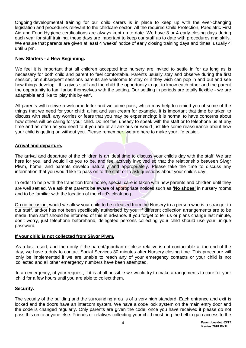Ongoing developmental training for our child carers is in place to keep up with the ever-changing legislation and procedures relevant to the childcare sector. All the required Child Protection, Paediatric First Aid and Food Hygiene certifications are always kept up to date. We have 3 or 4 early closing days during each year for staff training, these days are important to keep our staff up to date with procedures and skills. We ensure that parents are given at least 4 weeks' notice of early closing training days and times; usually 4 until 6 pm.

#### **New Starters - a New Beginning.**

We feel it is important that all children accepted into nursery are invited to settle in for as long as is necessary for both child and parent to feel comfortable. Parents usually stay and observe during the first session, on subsequent sessions parents are welcome to stay or if they wish can pop in and out and see how things develop - this gives staff and the child the opportunity to get to know each other and the parent the opportunity to familiarise themselves with the setting. Our settling in periods are totally flexible - we are adaptable and like to 'play this by ear'.

All parents will receive a welcome letter and welcome pack, which may help to remind you of some of the things that we need for your child; a hat and sun cream for example. It is important that time be taken to discuss with staff, any worries or fears that you may be experiencing; it is normal to have concerns about how others will be caring for your child. Do not feel uneasy to speak with the staff or to telephone us at any time and as often as you need to if you are at all anxious or would just like some reassurance about how your child is getting on without you. Please remember, we are here to make your life easier.

#### **Arrival and departure.**

The arrival and departure of the children is an ideal time to discuss your child's day with the staff. We are here for you, and would like you to be, and feel actively involved so that the relationship between Siwgr Plwm, home, and parents develop naturally and appropriately. Please take the time to discuss any information that you would like to pass on to the staff or to ask questions about your child's day.

In order to help with the transition from home, special care is taken with new parents and children until they are well settled. We ask that parents be aware of appropriate notices such as **'No shoes'** in nursery rooms and to be familiar with the location of the child's cloak peg.

On no occasion, would we allow your child to be released from the Nursery to a person who is a stranger to our staff, and/or has not been specifically authorised by you. If different collection arrangements are to be made, then staff should be informed of this in advance. If you forget to tell us or plans change last minute, don't worry, just telephone beforehand, delegated persons collecting your child should use your unique password.

#### **If your child is not collected from Siwgr Plwm.**

As a last resort, and then only if the parent/guardian or close relative is not contactable at the end of the day, we have a duty to contact Social Services 30 minutes after Nursery closing time. This procedure will only be implemented if we are unable to reach any of your emergency contacts or your child is not collected and all other emergency numbers have been attempted.

In an emergency, at your request; if it is at all possible we would try to make arrangements to care for your child for a few hours until you are able to collect them.

#### **Security.**

The security of the building and the surrounding area is of a very high standard. Each entrance and exit is locked and the doors have an intercom system. We have a code lock system on the main entry door and the code is changed regularly. Only parents are given the code; once you have received it please do not pass this on to anyone else. Friends or relatives collecting your child must ring the bell to gain access to the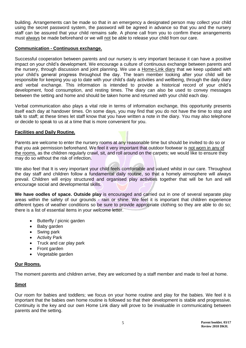building. Arrangements can be made so that in an emergency a designated person may collect your child using the secret password system, the password will be agreed in advance so that you and the nursery staff can be assured that your child remains safe. A phone call from you to confirm these arrangements must always be made beforehand or we will not be able to release your child from our care.

#### **Communication - Continuous exchange.**

Successful cooperation between parents and our nursery is very important because it can have a positive impact on your child's development. We encourage a culture of continuous exchange between parents and the nursery, through discussion and joint planning. We use a Home-Link diary that we keep updated with your child's general progress throughout the day. The team member looking after your child will be responsible for keeping you up to date with your child's daily activities and wellbeing, through the daily diary and verbal exchange. This information is intended to provide a historical record of your child's development, food consumption, and resting times. The diary can also be used to convey messages between the setting and home and should be taken home and returned with your child each day.

Verbal communication also plays a vital role in terms of information exchange, this opportunity presents itself each day at handover times. On some days, you may find that you do not have the time to stop and talk to staff; at these times let staff know that you have written a note in the diary. You may also telephone or decide to speak to us at a time that is more convenient for you.

#### **Facilities and Daily Routine.**

Parents are welcome to enter the nursery rooms at any reasonable time but should be invited to do so or that you ask permission beforehand. We feel it very important that outdoor footwear is not worn in any of the rooms, as the children regularly crawl, sit, and roll around on the carpets; we would like to ensure they may do so without the risk of infection.

We also feel that It is very important your child feels comfortable and valued whilst in our care. Throughout the day staff and children follow a fundamental daily routine, so that a homely atmosphere will always prevail. Children will enjoy structured and organised play activities together that will be fun and will encourage social and developmental skills.

**We have oodles of space. Outside play** is encouraged and carried out in one of several separate play areas within the safety of our grounds - rain or shine. We feel it is important that children experience different types of weather conditions so be sure to provide appropriate clothing so they are able to do so; there is a list of essential items in your welcome letter.

- Butterfly / picnic garden
- Baby garden
- Swing park
- Activity Park
- Truck and car play park
- Front garden
- Vegetable garden

#### **Our Rooms.**

The moment parents and children arrive, they are welcomed by a staff member and made to feel at home.

#### **Smot**

Our room for babies and toddlers; we focus on your home routine and play for the babies. We feel it is important that the babies own home routine is followed so that their development is stable and progressive. Continuity is the key and our own Home Link diary will prove to be invaluable in communicating between parents and the setting.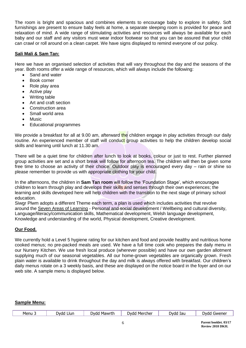The room is bright and spacious and combines elements to encourage baby to explore in safety. Soft furnishings are present to ensure baby feels at home, a separate sleeping room is provided for peace and relaxation of mind. A wide range of stimulating activities and resources will always be available for each baby and our staff and any visitors must wear indoor footwear so that you can be assured that your child can crawl or roll around on a clean carpet. We have signs displayed to remind everyone of our policy.

#### **Sali Mali & Sam Tan:**

Here we have an organised selection of activities that will vary throughout the day and the seasons of the year. Both rooms offer a wide range of resources, which will always include the following:

- Sand and water
- Book corner
- Role play area
- Active play
- Writing table
- Art and craft section
- Construction area
- Small world area
- **Music**
- Educational programmes

We provide a breakfast for all at 9.00 am, afterward the children engage in play activities through our daily routine. An experienced member of staff will conduct group activities to help the children develop social skills and learning until lunch at 11.30 am.

There will be a quiet time for children after lunch to look at books, colour or just to rest. Further planned group activities are set and a short break will follow for afternoon tea. The children will then be given some free time to choose an activity of their choice. Outdoor play is encouraged every day – rain or shine so please remember to provide us with appropriate clothing for your child.

In the afternoons, the children in **Sam Tan room** will follow the 'Foundation Stage', which encourages children to learn through play and develops their skills and senses through their own experiences; the learning and skills developed here will help children with the transition to the next stage of primary school education.

Siwgr Plwm adopts a different Theme each term, a plan is used which includes activities that revolve around the Seven [Areas of Learning](http://www.familylearning.org.uk/early_years_foundation_stage.html) - Personal and social development / Wellbeing and cultural diversity, Language/literacy/communication skills, Mathematical development, Welsh language development, Knowledge and understanding of the world, Physical development, Creative development.

#### **Our Food.**

We currently hold a Level 5 hygiene rating for our kitchen and food and provide healthy and nutritious home cooked menus; no pre-packed meals are used. We have a full time cook who prepares the daily menu in our Nursery Kitchen. We use fresh local produce (wherever possible) and have our own garden allotment supplying much of our seasonal vegetables. All our home-grown vegetables are organically grown. Fresh plain water is available to drink throughout the day and milk is always offered with breakfast. Our children's daily menus rotate on a 3 weekly basis, and these are displayed on the notice board in the foyer and on our web site. A sample menu is displayed below.

#### **Sample Menu:**

| Menu | .lur<br>. )vda | Mawrth<br>')vdd | ercher<br>)vdr<br>Merc | )vdd<br>lau | Gwener<br>w |
|------|----------------|-----------------|------------------------|-------------|-------------|
|------|----------------|-----------------|------------------------|-------------|-------------|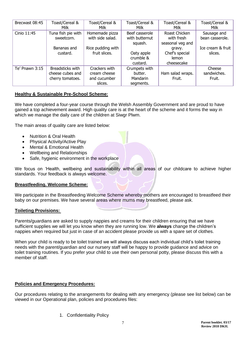| Brecwast 08:45 | Toast/Cereal &<br>Milk                                   | Toast/Cereal &<br>Milk                                   | Toast/Cereal &<br>Milk                            | Toast/Cereal &<br>Milk                          | Toast/Cereal &<br>Milk          |
|----------------|----------------------------------------------------------|----------------------------------------------------------|---------------------------------------------------|-------------------------------------------------|---------------------------------|
| Cinio 11:45    | Tuna fish pie with<br>sweetcorn.                         | Homemade pizza<br>with side salad.                       | Beef casserole<br>with butternut<br>squash.       | Roast Chicken<br>with fresh<br>seasonal veg and | Sausage and<br>bean casserole.  |
|                | Bananas and<br>custard.                                  | Rice pudding with<br>fruit slices.                       | Oaty apple<br>crumble &<br>custard.               | gravy.<br>Chef's special<br>lemon<br>cheesecake | Ice cream & fruit<br>slices.    |
| Te' Pnawn 3:15 | Breadsticks with<br>cheese cubes and<br>cherry tomatoes. | Crackers with<br>cream cheese<br>and cucumber<br>slices. | Crumpets with<br>butter.<br>Mandarin<br>segments. | Ham salad wraps.<br>Fruit.                      | Cheese<br>sandwiches.<br>Fruit. |

#### **Healthy & Sustainable Pre-School Scheme:**

We have completed a four-year course through the Welsh Assembly Government and are proud to have gained a top achievement award. High quality care is at the heart of the scheme and it forms the way in which we manage the daily care of the children at Siwgr Plwm.

The main areas of quality care are listed below:

- Nutrition & Oral Health
- Physical Activity/Active Play
- Mental & Emotional Health
- Wellbeing and Relationships
- Safe, hygienic environment in the workplace

We focus on 'Health, wellbeing and sustainability within all areas of our childcare to achieve higher standards. Your feedback is always welcome.

#### **Breastfeeding. Welcome Scheme:**

We participate in the Breastfeeding Welcome Scheme whereby mothers are encouraged to breastfeed their baby on our premises. We have several areas where mums may breastfeed, please ask.

#### **Toileting Provisions:**

Parents/guardians are asked to supply nappies and creams for their children ensuring that we have sufficient supplies we will let you know when they are running low. We **always** change the children's nappies when required but just in case of an accident please provide us with a spare set of clothes.

When your child is ready to be toilet trained we will always discuss each individual child's toilet training needs with the parent/guardian and our nursery staff will be happy to provide guidance and advice on toilet training routines. If you prefer your child to use their own personal potty, please discuss this with a member of staff.

#### **Policies and Emergency Procedures:**

Our procedures relating to the arrangements for dealing with any emergency (please see list below) can be viewed in our Operational plan, policies and procedures files:

1. Confidentiality Policy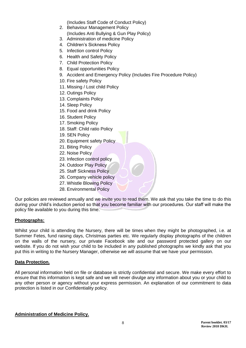(Includes Staff Code of Conduct Policy)

- 2. Behaviour Management Policy (Includes Anti Bullying & Gun Play Policy)
- 3. Administration of medicine Policy
- 4. Children's Sickness Policy
- 5. Infection control Policy
- 6. Health and Safety Policy
- 7. Child Protection Policy
- 8. Equal opportunities Policy
- 9. Accident and Emergency Policy (Includes Fire Procedure Policy)
- 10. Fire safety Policy
- 11. Missing / Lost child Policy
- 12. Outings Policy
- 13. Complaints Policy
- 14. Sleep Policy
- 15. Food and drink Policy
- 16. Student Policy
- 17. Smoking Policy
- 18. Staff: Child ratio Policy
- 19. SEN Policy
- 20. Equipment safety Policy
- 21. Biting Policy
- 22. Noise Policy
- 23. Infection control policy
- 24. Outdoor Play Policy
- 25. Staff Sickness Policy
- 26. Company vehicle policy
- 27. Whistle Blowing Policy
- 28. Environmental Policy

Our policies are reviewed annually and we invite you to read them. We ask that you take the time to do this during your child's induction period so that you become familiar with our procedures. Our staff will make the policy file available to you during this time.

#### **Photographs:**

Whilst your child is attending the Nursery, there will be times when they might be photographed, i.e. at Summer Fetes, fund raising days, Christmas parties etc. We regularly display photographs of the children on the walls of the nursery, our private Facebook site and our password protected gallery on our website. If you do not wish your child to be included in any published photographs we kindly ask that you put this in writing to the Nursery Manager, otherwise we will assume that we have your permission.

#### **Data Protection.**

All personal information held on file or database is strictly confidential and secure. We make every effort to ensure that this information is kept safe and we will never divulge any information about you or your child to any other person or agency without your express permission. An explanation of our commitment to data protection is listed in our Confidentiality policy.

#### **Administration of Medicine Policy.**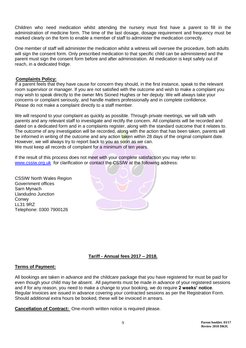Children who need medication whilst attending the nursery must first have a parent to fill in the administration of medicine form. The time of the last dosage, dosage requirement and frequency must be marked clearly on the form to enable a member of staff to administer the medication correctly.

One member of staff will administer the medication whilst a witness will oversee the procedure, both adults will sign the consent form. Only prescribed medication to that specific child can be administered and the parent must sign the consent form before and after administration. All medication is kept safely out of reach, in a dedicated fridge.

#### **Complaints Policy:**

If a parent feels that they have cause for concern they should, in the first instance, speak to the relevant room supervisor or manager. If you are not satisfied with the outcome and wish to make a complaint you may wish to speak directly to the owner Mrs Sioned Hughes or her deputy. We will always take your concerns or complaint seriously, and handle matters professionally and in complete confidence. Please do not make a complaint directly to a staff member.

We will respond to your complaint as quickly as possible. Through private meetings, we will talk with parents and any relevant staff to investigate and rectify the concern. All complaints will be recorded and dated on a dedicated form and in a complaints register, along with the standard outcome that it relates to. The outcome of any investigation will be recorded, along with the action that has been taken, parents will be informed in writing of the outcome and any action taken within 28 days of the original complaint date. However, we will always try to report back to you as soon as we can. We must keep all records of complaint for a minimum of ten years.

If the result of this process does not meet with your complete satisfaction you may refer to: [www.cssiw.org.uk](http://www.cssiw.org.uk/) for clarification or contact the CSSIW at the following address:

CSSIW North Wales Region Government offices Sarn Mynach Llandudno Junction Conwy LL31 9RZ Telephone: 0300 7900126

#### **Tariff - Annual fees 2017 – 2018.**

#### **Terms of Payment:**

All bookings are taken in advance and the childcare package that you have registered for must be paid for even though your child may be absent. All payments must be made in advance of your registered sessions and if for any reason, you need to make a change to your booking, we do require **2 weeks' notice**. Regular Invoices are issued in advance covering your contracted sessions as per the Registration Form. Should additional extra hours be booked, these will be invoiced in arrears.

**Cancellation of Contract:** One-month written notice is required please.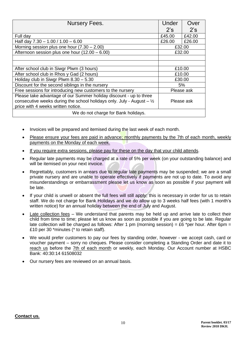| <b>Nursery Fees.</b>                                                            | Under      | Over       |  |
|---------------------------------------------------------------------------------|------------|------------|--|
|                                                                                 | 2's        | 2's        |  |
| Full day                                                                        | £45.00     | £42.00     |  |
| Half day $7.30 - 1.00 / 1.00 - 6.00$                                            | £26.00     | £26.00     |  |
| Morning session plus one hour $(7.30 - 2.00)$                                   | £32.00     |            |  |
| Afternoon session plus one hour (12.00 - 6.00)                                  | £32.00     |            |  |
|                                                                                 |            |            |  |
|                                                                                 |            |            |  |
| After school club in Siwgr Plwm (3 hours)                                       | £10.00     |            |  |
| After school club in Rhos y Gad (2 hours)                                       | £10.00     |            |  |
| Holiday club in Siwgr Plwm $8.30 - 5.30$                                        | £30.00     |            |  |
| Discount for the second siblings in the nursery                                 | 5%         |            |  |
| Free sessions for introducing new customers to the nursery                      | Please ask |            |  |
| Please take advantage of our Summer holiday discount - up to three              |            |            |  |
| consecutive weeks during the school holidays only. July - August $ \frac{1}{2}$ |            | Please ask |  |
| price with 4 weeks written notice.                                              |            |            |  |
| We do not charge for Bank holidays.                                             |            |            |  |

- Invoices will be prepared and itemised during the last week of each month.
- Please ensure your fees are paid in advance; monthly payments by the 7th of each month, weekly payments on the Monday of each week.
- If you require extra sessions, please pay for these on the day that your child attends.
- Regular late payments may be charged at a rate of 5% per week (on your outstanding balance) and will be itemised on your next invoice.
- Regrettably, customers in arrears due to regular late payments may be suspended; we are a small private nursery and are unable to operate effectively if payments are not up to date. To avoid any misunderstandings or embarrassment please let us know as soon as possible if your payment will be late.
- If your child is unwell or absent the full fees will still apply; this is necessary in order for us to retain staff. We do not charge for Bank Holidays and we do allow up to 3 weeks half fees (with 1 month's written notice) for an annual holiday between the end of July and August.
- Late collection fees We understand that parents may be held up and arrive late to collect their child from time to time; please let us know as soon as possible if you are going to be late. Regular late collection will be charged as follows: After 1 pm (morning session) = £6 \*per hour. After 6pm = £10 per 30 \*minutes (\* to retain staff).
- We would prefer customers to pay our fees by standing order, however we accept cash, card or voucher payment – sorry no cheques. Please consider completing a Standing Order and date it to reach us before the 7th of each month or weekly, each Monday. Our Account number at HSBC Bank: 40:30:14 61508032
- Our nursery fees are reviewed on an annual basis.